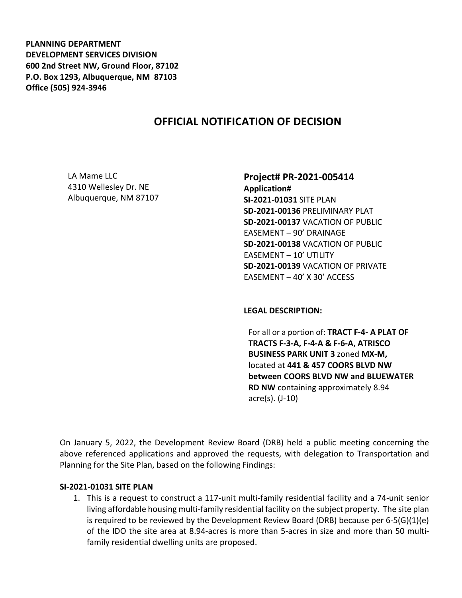**PLANNING DEPARTMENT DEVELOPMENT SERVICES DIVISION 600 2nd Street NW, Ground Floor, 87102 P.O. Box 1293, Albuquerque, NM 87103 Office (505) 924-3946** 

# **OFFICIAL NOTIFICATION OF DECISION**

LA Mame LLC 4310 Wellesley Dr. NE Albuquerque, NM 87107

#### **Project# PR-2021-005414**

**Application# SI-2021-01031** SITE PLAN **SD-2021-00136** PRELIMINARY PLAT **SD-2021-00137** VACATION OF PUBLIC EASEMENT – 90' DRAINAGE **SD-2021-00138** VACATION OF PUBLIC EASEMENT – 10' UTILITY **SD-2021-00139** VACATION OF PRIVATE EASEMENT – 40' X 30' ACCESS

**LEGAL DESCRIPTION:**

For all or a portion of: **TRACT F-4- A PLAT OF TRACTS F-3-A, F-4-A & F-6-A, ATRISCO BUSINESS PARK UNIT 3** zoned **MX-M,**  located at **441 & 457 COORS BLVD NW between COORS BLVD NW and BLUEWATER RD NW** containing approximately 8.94 acre(s). (J-10)

On January 5, 2022, the Development Review Board (DRB) held a public meeting concerning the above referenced applications and approved the requests, with delegation to Transportation and Planning for the Site Plan, based on the following Findings:

#### **SI-2021-01031 SITE PLAN**

1. This is a request to construct a 117-unit multi-family residential facility and a 74-unit senior living affordable housing multi-family residential facility on the subject property. The site plan is required to be reviewed by the Development Review Board (DRB) because per 6-5(G)(1)(e) of the IDO the site area at 8.94-acres is more than 5-acres in size and more than 50 multifamily residential dwelling units are proposed.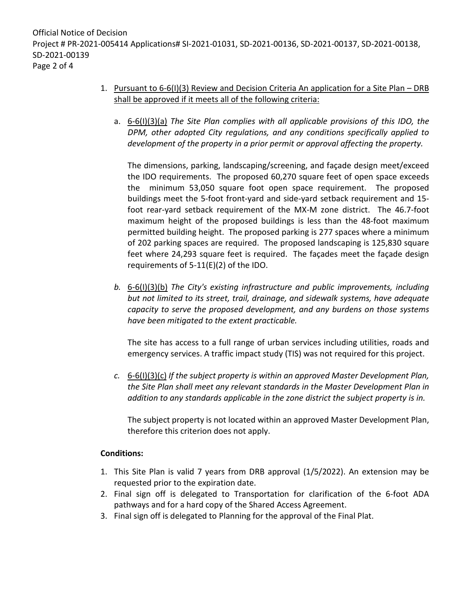# 1. Pursuant to 6-6(I)(3) Review and Decision Criteria An application for a Site Plan – DRB shall be approved if it meets all of the following criteria:

a. 6-6(I)(3)(a) *The Site Plan complies with all applicable provisions of this IDO, the DPM, other adopted City regulations, and any conditions specifically applied to development of the property in a prior permit or approval affecting the property.*

The dimensions, parking, landscaping/screening, and façade design meet/exceed the IDO requirements. The proposed 60,270 square feet of open space exceeds the minimum 53,050 square foot open space requirement. The proposed buildings meet the 5-foot front-yard and side-yard setback requirement and 15 foot rear-yard setback requirement of the MX-M zone district. The 46.7-foot maximum height of the proposed buildings is less than the 48-foot maximum permitted building height. The proposed parking is 277 spaces where a minimum of 202 parking spaces are required. The proposed landscaping is 125,830 square feet where 24,293 square feet is required. The façades meet the façade design requirements of 5-11(E)(2) of the IDO.

*b.* 6-6(I)(3)(b) *The City's existing infrastructure and public improvements, including but not limited to its street, trail, drainage, and sidewalk systems, have adequate capacity to serve the proposed development, and any burdens on those systems have been mitigated to the extent practicable.* 

The site has access to a full range of urban services including utilities, roads and emergency services. A traffic impact study (TIS) was not required for this project.

*c.* 6-6(I)(3)(c) *If the subject property is within an approved Master Development Plan, the Site Plan shall meet any relevant standards in the Master Development Plan in addition to any standards applicable in the zone district the subject property is in.*

The subject property is not located within an approved Master Development Plan, therefore this criterion does not apply.

## **Conditions:**

- 1. This Site Plan is valid 7 years from DRB approval (1/5/2022). An extension may be requested prior to the expiration date.
- 2. Final sign off is delegated to Transportation for clarification of the 6-foot ADA pathways and for a hard copy of the Shared Access Agreement.
- 3. Final sign off is delegated to Planning for the approval of the Final Plat.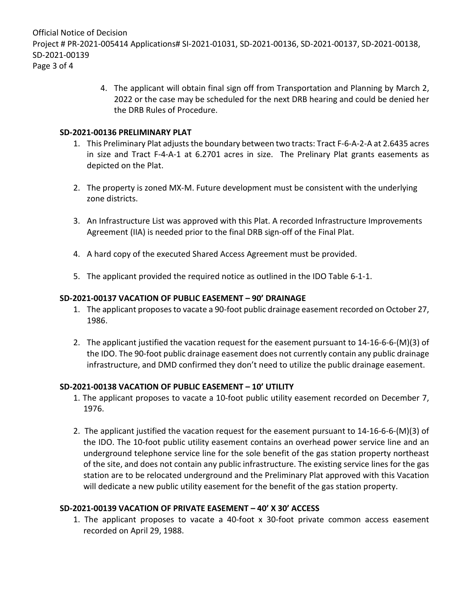Official Notice of Decision Project # PR-2021-005414 Applications# SI-2021-01031, SD-2021-00136, SD-2021-00137, SD-2021-00138, SD-2021-00139 Page 3 of 4

> 4. The applicant will obtain final sign off from Transportation and Planning by March 2, 2022 or the case may be scheduled for the next DRB hearing and could be denied her the DRB Rules of Procedure.

#### **SD-2021-00136 PRELIMINARY PLAT**

- 1. This Preliminary Plat adjusts the boundary between two tracts: Tract F-6-A-2-A at 2.6435 acres in size and Tract F-4-A-1 at 6.2701 acres in size. The Prelinary Plat grants easements as depicted on the Plat.
- 2. The property is zoned MX-M. Future development must be consistent with the underlying zone districts.
- 3. An Infrastructure List was approved with this Plat. A recorded Infrastructure Improvements Agreement (IIA) is needed prior to the final DRB sign-off of the Final Plat.
- 4. A hard copy of the executed Shared Access Agreement must be provided.
- 5. The applicant provided the required notice as outlined in the IDO Table 6-1-1.

## **SD-2021-00137 VACATION OF PUBLIC EASEMENT – 90' DRAINAGE**

- 1. The applicant proposes to vacate a 90-foot public drainage easement recorded on October 27, 1986.
- 2. The applicant justified the vacation request for the easement pursuant to 14-16-6-6-(M)(3) of the IDO. The 90-foot public drainage easement does not currently contain any public drainage infrastructure, and DMD confirmed they don't need to utilize the public drainage easement.

## **SD-2021-00138 VACATION OF PUBLIC EASEMENT – 10' UTILITY**

- 1. The applicant proposes to vacate a 10-foot public utility easement recorded on December 7, 1976.
- 2. The applicant justified the vacation request for the easement pursuant to 14-16-6-6-(M)(3) of the IDO. The 10-foot public utility easement contains an overhead power service line and an underground telephone service line for the sole benefit of the gas station property northeast of the site, and does not contain any public infrastructure. The existing service lines for the gas station are to be relocated underground and the Preliminary Plat approved with this Vacation will dedicate a new public utility easement for the benefit of the gas station property.

## **SD-2021-00139 VACATION OF PRIVATE EASEMENT – 40' X 30' ACCESS**

1. The applicant proposes to vacate a 40-foot x 30-foot private common access easement recorded on April 29, 1988.